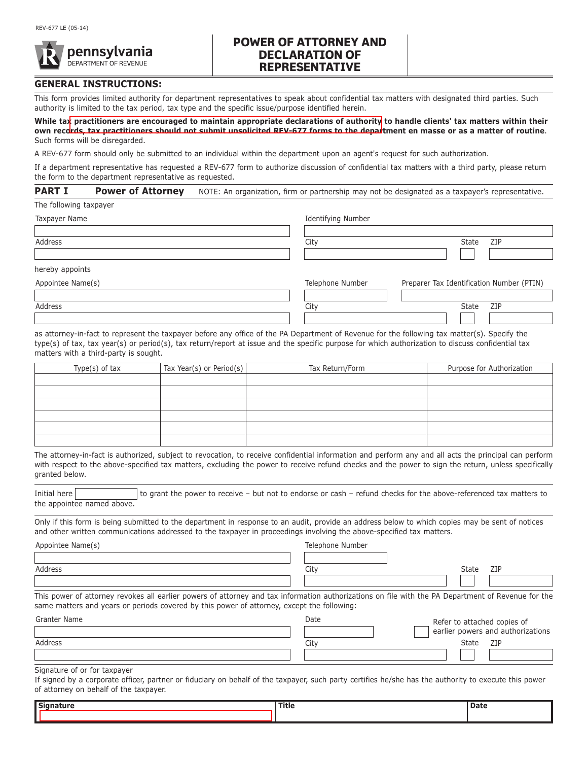

## **POWER OF ATTORNEY AND DECLARATION OF REPRESENTATIVE**

## **GENERAL INSTRUCTIONS:**

This form provides limited authority for department representatives to speak about confidential tax matters with designated third parties. Such authority is limited to the tax period, tax type and the specific issue/purpose identified herein.

**While ta[x practitioners are encouraged to maintain appropriate declarations of authority](www.esign.com) to handle clients' tax matters within their own records, tax practitioners should not submit unsolicited REV-677 forms to the department en masse or as a matter of routine**. Such forms will be disregarded.

A REV-677 form should only be submitted to an individual within the department upon an agent's request for such authorization.

If a department representative has requested a REV-677 form to authorize discussion of confidential tax matters with a third party, please return the form to the department representative as requested.

| <b>PART I</b>          | <b>Power of Attorney</b> | NOTE: An organization, firm or partnership may not be designated as a taxpayer's representative. |                  |                                           |              |
|------------------------|--------------------------|--------------------------------------------------------------------------------------------------|------------------|-------------------------------------------|--------------|
| The following taxpayer |                          |                                                                                                  |                  |                                           |              |
| Taxpayer Name          |                          | Identifying Number                                                                               |                  |                                           |              |
| Address                |                          |                                                                                                  | City             |                                           | ZIP<br>State |
| hereby appoints        |                          |                                                                                                  |                  |                                           |              |
|                        |                          |                                                                                                  |                  |                                           |              |
| Appointee Name(s)      |                          |                                                                                                  | Telephone Number | Preparer Tax Identification Number (PTIN) |              |

Address City State ZIP

as attorney-in-fact to represent the taxpayer before any office of the PA Department of Revenue for the following tax matter(s). Specify the type(s) of tax, tax year(s) or period(s), tax return/report at issue and the specific purpose for which authorization to discuss confidential tax matters with a third-party is sought.

| Type $(s)$ of tax | $\vert$ Tax Year(s) or Period(s) $\vert$ | Tax Return/Form | Purpose for Authorization |
|-------------------|------------------------------------------|-----------------|---------------------------|
|                   |                                          |                 |                           |
|                   |                                          |                 |                           |
|                   |                                          |                 |                           |
|                   |                                          |                 |                           |
|                   |                                          |                 |                           |
|                   |                                          |                 |                           |

The attorney-in-fact is authorized, subject to revocation, to receive confidential information and perform any and all acts the principal can perform with respect to the above-specified tax matters, excluding the power to receive refund checks and the power to sign the return, unless specifically granted below.

Initial here **the contrary of the power to receive** – but not to endorse or cash – refund checks for the above-referenced tax matters to the appointee named above.

Only if this form is being submitted to the department in response to an audit, provide an address below to which copies may be sent of notices and other written communications addressed to the taxpayer in proceedings involving the above-specified tax matters.

Appointee Name(s)

Address City State ZIP

Telephone Number

This power of attorney revokes all earlier powers of attorney and tax information authorizations on file with the PA Department of Revenue for the same matters and years or periods covered by this power of attorney, except the following:

| Granter Name | Date | Refer to attached copies of       |  |
|--------------|------|-----------------------------------|--|
|              |      | earlier powers and authorizations |  |
| Address      | City | ZIP<br>State                      |  |
|              |      |                                   |  |

Signature of or for taxpayer

If signed by a corporate officer, partner or fiduciary on behalf of the taxpayer, such party certifies he/she has the authority to execute this power of attorney on behalf of the taxpayer.

| <b>Signature</b> | Title | Date |
|------------------|-------|------|
|                  |       |      |